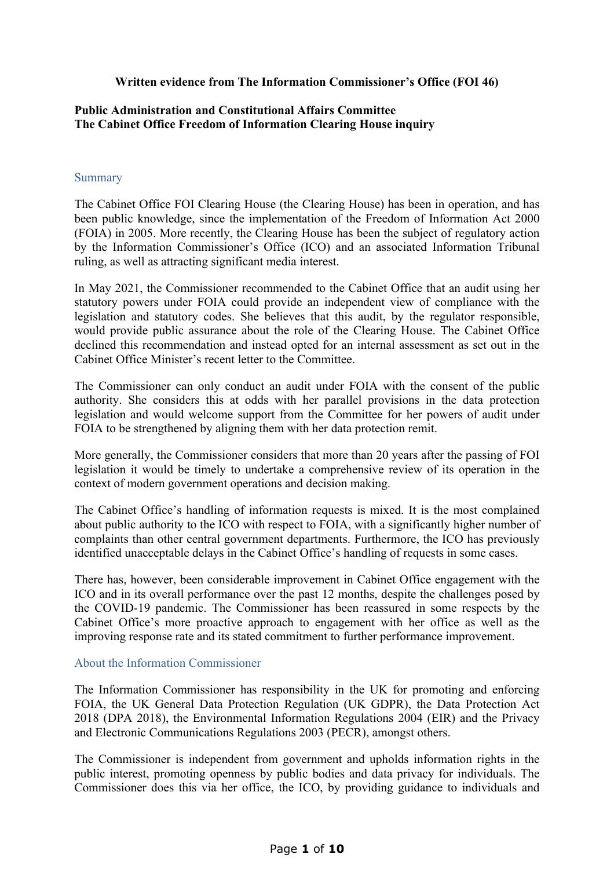## **Written evidence from The Information Commissioner's Office (FOI 46)**

## **[Public](https://admin.committees.parliament.uk/Committee/Edit/327) [Administration](https://admin.committees.parliament.uk/Committee/Edit/327) [and](https://admin.committees.parliament.uk/Committee/Edit/327) [Constitutional](https://admin.committees.parliament.uk/Committee/Edit/327) [Affairs](https://admin.committees.parliament.uk/Committee/Edit/327) [Committee](https://admin.committees.parliament.uk/Committee/Edit/327) [The](https://admin.committees.parliament.uk/Committee/327/CommitteeBusiness/Edit/1348) [Cabinet](https://admin.committees.parliament.uk/Committee/327/CommitteeBusiness/Edit/1348) [Office](https://admin.committees.parliament.uk/Committee/327/CommitteeBusiness/Edit/1348) [Freedom](https://admin.committees.parliament.uk/Committee/327/CommitteeBusiness/Edit/1348) [of](https://admin.committees.parliament.uk/Committee/327/CommitteeBusiness/Edit/1348) [Information](https://admin.committees.parliament.uk/Committee/327/CommitteeBusiness/Edit/1348) [Clearing](https://admin.committees.parliament.uk/Committee/327/CommitteeBusiness/Edit/1348) [House](https://admin.committees.parliament.uk/Committee/327/CommitteeBusiness/Edit/1348) inquiry**

### Summary

The Cabinet Office FOI Clearing House (the Clearing House) has been in operation, and has been public knowledge, since the implementation of the Freedom of Information Act 2000 (FOIA) in 2005. More recently, the Clearing House has been the subject of regulatory action by the Information Commissioner's Office (ICO) and an associated Information Tribunal ruling, as well as attracting significant media interest.

In May 2021, the Commissioner recommended to the Cabinet Office that an audit using her statutory powers under FOIA could provide an independent view of compliance with the legislation and statutory codes. She believes that this audit, by the regulator responsible, would provide public assurance about the role of the Clearing House. The Cabinet Office declined this recommendation and instead opted for an internal assessment as set out in the Cabinet Office Minister's recent letter to the Committee.

The Commissioner can only conduct an audit under FOIA with the consent of the public authority. She considers this at odds with her parallel provisions in the data protection legislation and would welcome support from the Committee for her powers of audit under FOIA to be strengthened by aligning them with her data protection remit.

More generally, the Commissioner considers that more than 20 years after the passing of FOI legislation it would be timely to undertake a comprehensive review of its operation in the context of modern government operations and decision making.

The Cabinet Office's handling of information requests is mixed. It is the most complained about public authority to the ICO with respect to FOIA, with a significantly higher number of complaints than other central government departments. Furthermore, the ICO has previously identified unacceptable delays in the Cabinet Office's handling of requests in some cases.

There has, however, been considerable improvement in Cabinet Office engagement with the ICO and in its overall performance over the past 12 months, despite the challenges posed by the COVID-19 pandemic. The Commissioner has been reassured in some respects by the Cabinet Office's more proactive approach to engagement with her office as well as the improving response rate and its stated commitment to further performance improvement.

### About the Information Commissioner

The Information Commissioner has responsibility in the UK for promoting and enforcing FOIA, the UK General Data Protection Regulation (UK GDPR), the Data Protection Act 2018 (DPA 2018), the Environmental Information Regulations 2004 (EIR) and the Privacy and Electronic Communications Regulations 2003 (PECR), amongst others.

The Commissioner is independent from government and upholds information rights in the public interest, promoting openness by public bodies and data privacy for individuals. The Commissioner does this via her office, the ICO, by providing guidance to individuals and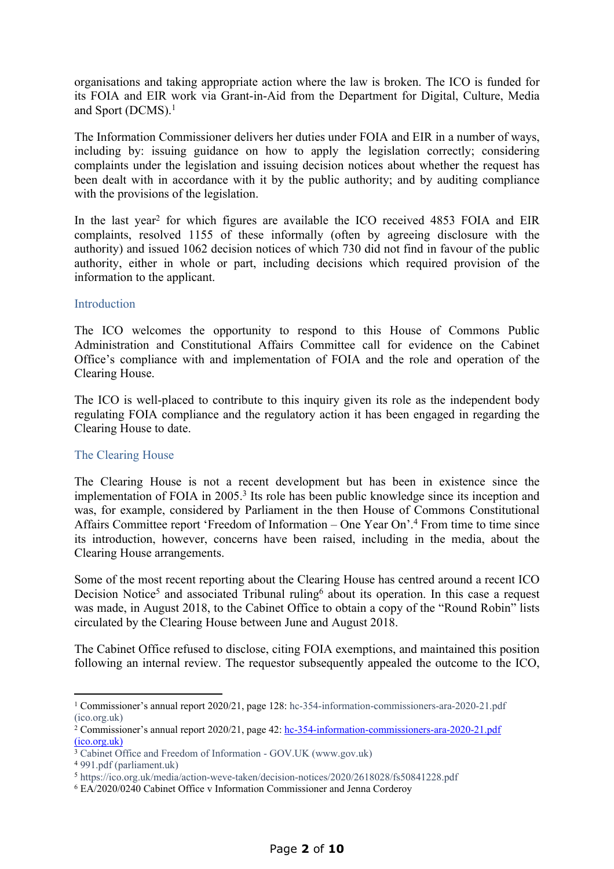organisations and taking appropriate action where the law is broken. The ICO is funded for its FOIA and EIR work via Grant-in-Aid from the Department for Digital, Culture, Media and Sport (DCMS).<sup>1</sup>

The Information Commissioner delivers her duties under FOIA and EIR in a number of ways, including by: issuing guidance on how to apply the legislation correctly; considering complaints under the legislation and issuing decision notices about whether the request has been dealt with in accordance with it by the public authority; and by auditing compliance with the provisions of the legislation.

In the last year<sup>2</sup> for which figures are available the ICO received 4853 FOIA and EIR complaints, resolved 1155 of these informally (often by agreeing disclosure with the authority) and issued 1062 decision notices of which 730 did not find in favour of the public authority, either in whole or part, including decisions which required provision of the information to the applicant.

### **Introduction**

The ICO welcomes the opportunity to respond to this House of Commons Public Administration and Constitutional Affairs Committee call for evidence on the Cabinet Office's compliance with and implementation of FOIA and the role and operation of the Clearing House.

The ICO is well-placed to contribute to this inquiry given its role as the independent body regulating FOIA compliance and the regulatory action it has been engaged in regarding the Clearing House to date.

### The Clearing House

The Clearing House is not a recent development but has been in existence since the implementation of FOIA in 2005.<sup>3</sup> Its role has been public knowledge since its inception and was, for example, considered by Parliament in the then House of Commons Constitutional Affairs Committee report 'Freedom of Information – One Year On'.<sup>4</sup> From time to time since its introduction, however, concerns have been raised, including in the media, about the Clearing House arrangements.

Some of the most recent reporting about the Clearing House has centred around a recent ICO Decision Notice<sup>5</sup> and associated Tribunal ruling<sup>6</sup> about its operation. In this case a request was made, in August 2018, to the Cabinet Office to obtain a copy of the "Round Robin" lists circulated by the Clearing House between June and August 2018.

The Cabinet Office refused to disclose, citing FOIA exemptions, and maintained this position following an internal review. The requestor subsequently appealed the outcome to the ICO,

<sup>1</sup> Commissioner's annual report 2020/21, page 128: [hc-354-information-commissioners-ara-2020-21.pdf](https://ico.org.uk/media/about-the-ico/documents/2620166/hc-354-information-commissioners-ara-2020-21.pdf) [\(ico.org.uk\)](https://ico.org.uk/media/about-the-ico/documents/2620166/hc-354-information-commissioners-ara-2020-21.pdf)

<sup>&</sup>lt;sup>2</sup> Commissioner's annual report 2020/21, page 42: [hc-354-information-commissioners-ara-2020-21.pdf](https://ico.org.uk/media/about-the-ico/documents/2620166/hc-354-information-commissioners-ara-2020-21.pdf) [\(ico.org.uk\)](https://ico.org.uk/media/about-the-ico/documents/2620166/hc-354-information-commissioners-ara-2020-21.pdf)

<sup>3</sup> [Cabinet](https://www.gov.uk/government/publications/cabinet-office-and-freedom-of-information) [Office](https://www.gov.uk/government/publications/cabinet-office-and-freedom-of-information) [and](https://www.gov.uk/government/publications/cabinet-office-and-freedom-of-information) [Freedom](https://www.gov.uk/government/publications/cabinet-office-and-freedom-of-information) [of](https://www.gov.uk/government/publications/cabinet-office-and-freedom-of-information) [Information](https://www.gov.uk/government/publications/cabinet-office-and-freedom-of-information) [-](https://www.gov.uk/government/publications/cabinet-office-and-freedom-of-information) [GOV.UK](https://www.gov.uk/government/publications/cabinet-office-and-freedom-of-information) [\(www.gov.uk\)](https://www.gov.uk/government/publications/cabinet-office-and-freedom-of-information)

<sup>4</sup> [991.pdf](https://publications.parliament.uk/pa/cm200506/cmselect/cmconst/991/991.pdf) [\(parliament.uk\)](https://publications.parliament.uk/pa/cm200506/cmselect/cmconst/991/991.pdf)

<sup>5</sup> <https://ico.org.uk/media/action-weve-taken/decision-notices/2020/2618028/fs50841228.pdf>

<sup>6</sup> EA/2020/0240 Cabinet Office v Information Commissioner and Jenna Corderoy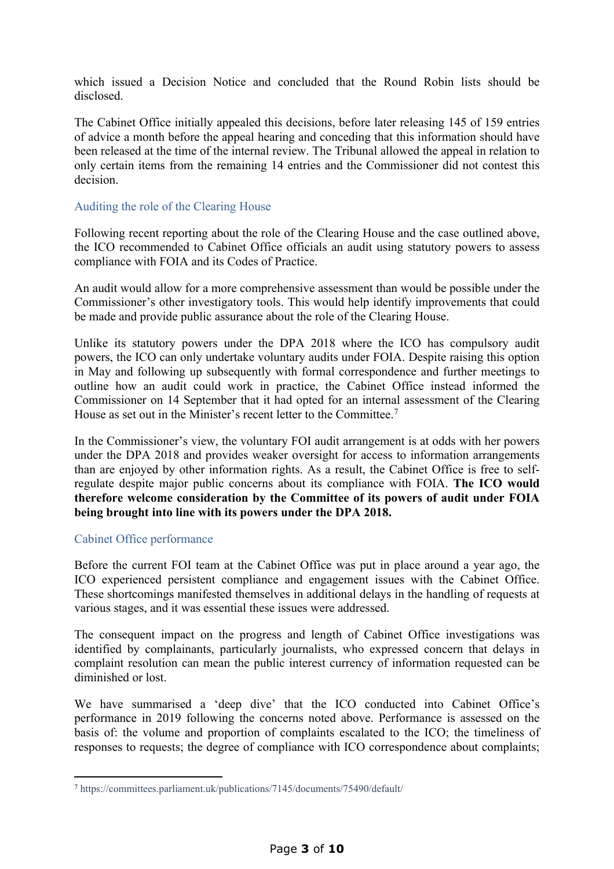which issued a Decision Notice and concluded that the Round Robin lists should be disclosed.

The Cabinet Office initially appealed this decisions, before later releasing 145 of 159 entries of advice a month before the appeal hearing and conceding that this information should have been released at the time of the internal review. The Tribunal allowed the appeal in relation to only certain items from the remaining 14 entries and the Commissioner did not contest this decision.

# Auditing the role of the Clearing House

Following recent reporting about the role of the Clearing House and the case outlined above, the ICO recommended to Cabinet Office officials an audit using statutory powers to assess compliance with FOIA and its Codes of Practice.

An audit would allow for a more comprehensive assessment than would be possible under the Commissioner's other investigatory tools. This would help identify improvements that could be made and provide public assurance about the role of the Clearing House.

Unlike its statutory powers under the DPA 2018 where the ICO has compulsory audit powers, the ICO can only undertake voluntary audits under FOIA. Despite raising this option in May and following up subsequently with formal correspondence and further meetings to outline how an audit could work in practice, the Cabinet Office instead informed the Commissioner on 14 September that it had opted for an internal assessment of the Clearing House as set out in the Minister's recent letter to the Committee.<sup>7</sup>

In the Commissioner's view, the voluntary FOI audit arrangement is at odds with her powers under the DPA 2018 and provides weaker oversight for access to information arrangements than are enjoyed by other information rights. As a result, the Cabinet Office is free to selfregulate despite major public concerns about its compliance with FOIA. **The ICO would therefore welcome consideration by the Committee of its powers of audit under FOIA being brought into line with its powers under the DPA 2018.**

### Cabinet Office performance

Before the current FOI team at the Cabinet Office was put in place around a year ago, the ICO experienced persistent compliance and engagement issues with the Cabinet Office. These shortcomings manifested themselves in additional delays in the handling of requests at various stages, and it was essential these issues were addressed.

The consequent impact on the progress and length of Cabinet Office investigations was identified by complainants, particularly journalists, who expressed concern that delays in complaint resolution can mean the public interest currency of information requested can be diminished or lost.

We have summarised a 'deep dive' that the ICO conducted into Cabinet Office's performance in 2019 following the concerns noted above. Performance is assessed on the basis of: the volume and proportion of complaints escalated to the ICO; the timeliness of responses to requests; the degree of compliance with ICO correspondence about complaints;

<sup>7</sup> <https://committees.parliament.uk/publications/7145/documents/75490/default/>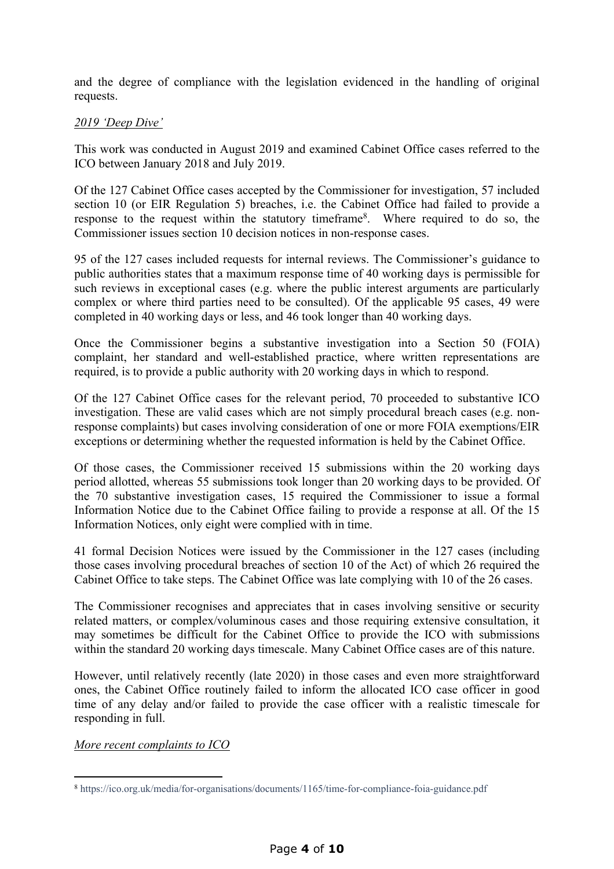and the degree of compliance with the legislation evidenced in the handling of original requests.

# *2019 'Deep Dive'*

This work was conducted in August 2019 and examined Cabinet Office cases referred to the ICO between January 2018 and July 2019.

Of the 127 Cabinet Office cases accepted by the Commissioner for investigation, 57 included section 10 (or EIR Regulation 5) breaches, i.e. the Cabinet Office had failed to provide a response to the request within the statutory timeframe<sup>8</sup>. Where required to do so, the Commissioner issues section 10 decision notices in non-response cases.

95 of the 127 cases included requests for internal reviews. The Commissioner's guidance to public authorities states that a maximum response time of 40 working days is permissible for such reviews in exceptional cases (e.g. where the public interest arguments are particularly complex or where third parties need to be consulted). Of the applicable 95 cases, 49 were completed in 40 working days or less, and 46 took longer than 40 working days.

Once the Commissioner begins a substantive investigation into a Section 50 (FOIA) complaint, her standard and well-established practice, where written representations are required, is to provide a public authority with 20 working days in which to respond.

Of the 127 Cabinet Office cases for the relevant period, 70 proceeded to substantive ICO investigation. These are valid cases which are not simply procedural breach cases (e.g. nonresponse complaints) but cases involving consideration of one or more FOIA exemptions/EIR exceptions or determining whether the requested information is held by the Cabinet Office.

Of those cases, the Commissioner received 15 submissions within the 20 working days period allotted, whereas 55 submissions took longer than 20 working days to be provided. Of the 70 substantive investigation cases, 15 required the Commissioner to issue a formal Information Notice due to the Cabinet Office failing to provide a response at all. Of the 15 Information Notices, only eight were complied with in time.

41 formal Decision Notices were issued by the Commissioner in the 127 cases (including those cases involving procedural breaches of section 10 of the Act) of which 26 required the Cabinet Office to take steps. The Cabinet Office was late complying with 10 of the 26 cases.

The Commissioner recognises and appreciates that in cases involving sensitive or security related matters, or complex/voluminous cases and those requiring extensive consultation, it may sometimes be difficult for the Cabinet Office to provide the ICO with submissions within the standard 20 working days timescale. Many Cabinet Office cases are of this nature.

However, until relatively recently (late 2020) in those cases and even more straightforward ones, the Cabinet Office routinely failed to inform the allocated ICO case officer in good time of any delay and/or failed to provide the case officer with a realistic timescale for responding in full.

*More recent complaints to ICO*

<sup>8</sup> <https://ico.org.uk/media/for-organisations/documents/1165/time-for-compliance-foia-guidance.pdf>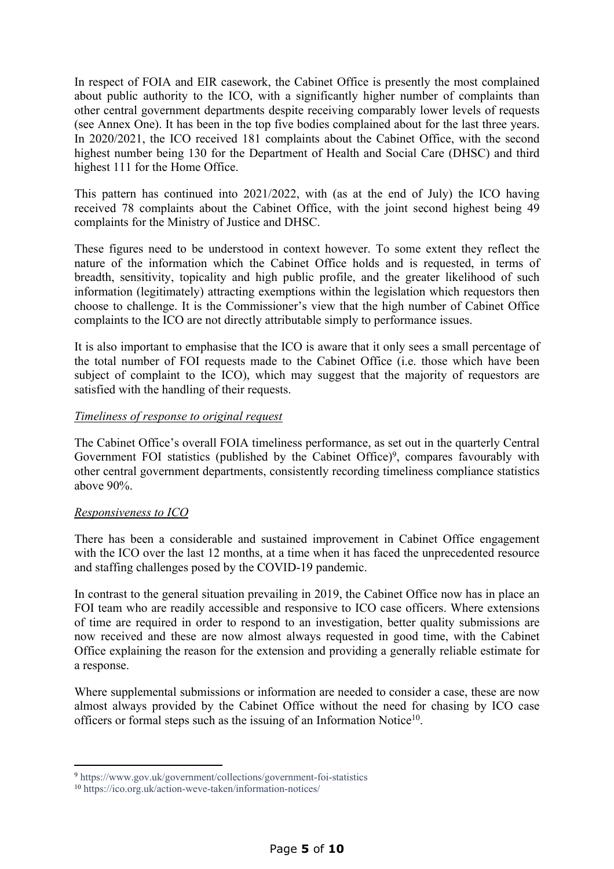In respect of FOIA and EIR casework, the Cabinet Office is presently the most complained about public authority to the ICO, with a significantly higher number of complaints than other central government departments despite receiving comparably lower levels of requests (see Annex One). It has been in the top five bodies complained about for the last three years. In 2020/2021, the ICO received 181 complaints about the Cabinet Office, with the second highest number being 130 for the Department of Health and Social Care (DHSC) and third highest 111 for the Home Office.

This pattern has continued into 2021/2022, with (as at the end of July) the ICO having received 78 complaints about the Cabinet Office, with the joint second highest being 49 complaints for the Ministry of Justice and DHSC.

These figures need to be understood in context however. To some extent they reflect the nature of the information which the Cabinet Office holds and is requested, in terms of breadth, sensitivity, topicality and high public profile, and the greater likelihood of such information (legitimately) attracting exemptions within the legislation which requestors then choose to challenge. It is the Commissioner's view that the high number of Cabinet Office complaints to the ICO are not directly attributable simply to performance issues.

It is also important to emphasise that the ICO is aware that it only sees a small percentage of the total number of FOI requests made to the Cabinet Office (i.e. those which have been subject of complaint to the ICO), which may suggest that the majority of requestors are satisfied with the handling of their requests.

## *Timeliness of response to original request*

The Cabinet Office's overall FOIA timeliness performance, as set out in the quarterly Central Government FOI statistics (published by the Cabinet Office)<sup>9</sup>, compares favourably with other central government departments, consistently recording timeliness compliance statistics above 90%.

### *Responsiveness to ICO*

There has been a considerable and sustained improvement in Cabinet Office engagement with the ICO over the last 12 months, at a time when it has faced the unprecedented resource and staffing challenges posed by the COVID-19 pandemic.

In contrast to the general situation prevailing in 2019, the Cabinet Office now has in place an FOI team who are readily accessible and responsive to ICO case officers. Where extensions of time are required in order to respond to an investigation, better quality submissions are now received and these are now almost always requested in good time, with the Cabinet Office explaining the reason for the extension and providing a generally reliable estimate for a response.

Where supplemental submissions or information are needed to consider a case, these are now almost always provided by the Cabinet Office without the need for chasing by ICO case officers or formal steps such as the issuing of an Information Notice<sup>10</sup>.

<sup>9</sup> <https://www.gov.uk/government/collections/government-foi-statistics>

<sup>10</sup> <https://ico.org.uk/action-weve-taken/information-notices/>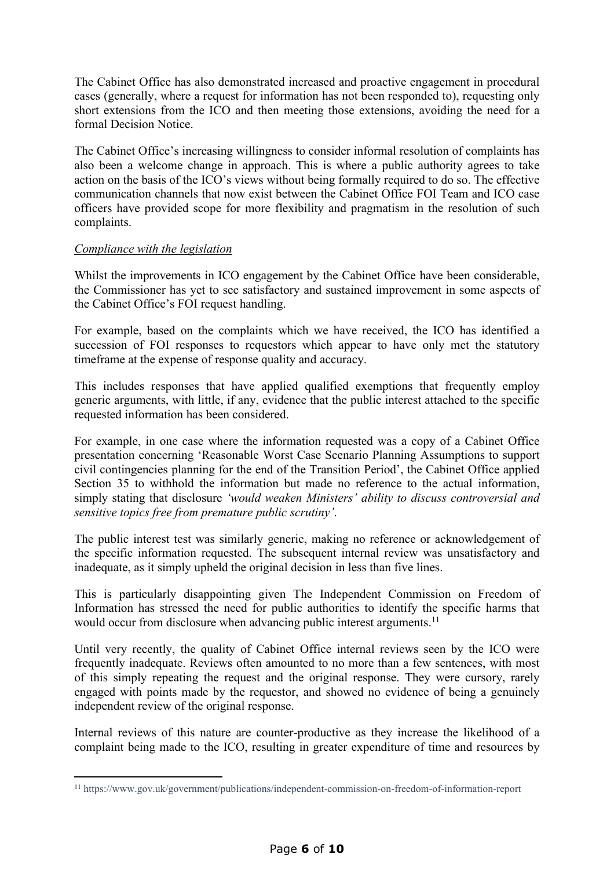The Cabinet Office has also demonstrated increased and proactive engagement in procedural cases (generally, where a request for information has not been responded to), requesting only short extensions from the ICO and then meeting those extensions, avoiding the need for a formal Decision Notice.

The Cabinet Office's increasing willingness to consider informal resolution of complaints has also been a welcome change in approach. This is where a public authority agrees to take action on the basis of the ICO's views without being formally required to do so. The effective communication channels that now exist between the Cabinet Office FOI Team and ICO case officers have provided scope for more flexibility and pragmatism in the resolution of such complaints.

### *Compliance with the legislation*

Whilst the improvements in ICO engagement by the Cabinet Office have been considerable, the Commissioner has yet to see satisfactory and sustained improvement in some aspects of the Cabinet Office's FOI request handling.

For example, based on the complaints which we have received, the ICO has identified a succession of FOI responses to requestors which appear to have only met the statutory timeframe at the expense of response quality and accuracy.

This includes responses that have applied qualified exemptions that frequently employ generic arguments, with little, if any, evidence that the public interest attached to the specific requested information has been considered.

For example, in one case where the information requested was a copy of a Cabinet Office presentation concerning 'Reasonable Worst Case Scenario Planning Assumptions to support civil contingencies planning for the end of the Transition Period', the Cabinet Office applied Section 35 to withhold the information but made no reference to the actual information simply stating that disclosure *'would weaken Ministers' ability to discuss controversial and sensitive topics free from premature public scrutiny'*.

The public interest test was similarly generic, making no reference or acknowledgement of the specific information requested. The subsequent internal review was unsatisfactory and inadequate, as it simply upheld the original decision in less than five lines.

This is particularly disappointing given The Independent Commission on Freedom of Information has stressed the need for public authorities to identify the specific harms that would occur from disclosure when advancing public interest arguments.<sup>11</sup>

Until very recently, the quality of Cabinet Office internal reviews seen by the ICO were frequently inadequate. Reviews often amounted to no more than a few sentences, with most of this simply repeating the request and the original response. They were cursory, rarely engaged with points made by the requestor, and showed no evidence of being a genuinely independent review of the original response.

Internal reviews of this nature are counter-productive as they increase the likelihood of a complaint being made to the ICO, resulting in greater expenditure of time and resources by

<sup>11</sup> <https://www.gov.uk/government/publications/independent-commission-on-freedom-of-information-report>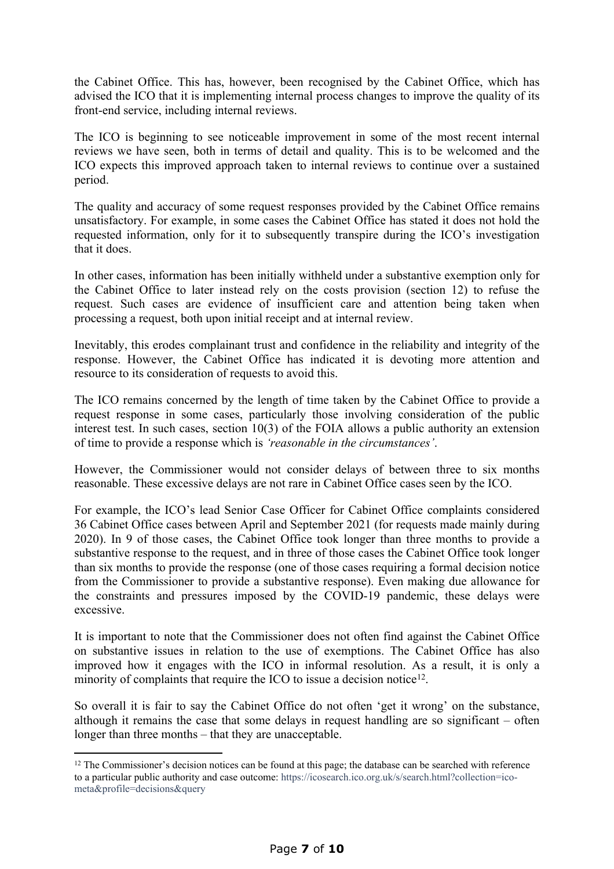the Cabinet Office. This has, however, been recognised by the Cabinet Office, which has advised the ICO that it is implementing internal process changes to improve the quality of its front-end service, including internal reviews.

The ICO is beginning to see noticeable improvement in some of the most recent internal reviews we have seen, both in terms of detail and quality. This is to be welcomed and the ICO expects this improved approach taken to internal reviews to continue over a sustained period.

The quality and accuracy of some request responses provided by the Cabinet Office remains unsatisfactory. For example, in some cases the Cabinet Office has stated it does not hold the requested information, only for it to subsequently transpire during the ICO's investigation that it does.

In other cases, information has been initially withheld under a substantive exemption only for the Cabinet Office to later instead rely on the costs provision (section 12) to refuse the request. Such cases are evidence of insufficient care and attention being taken when processing a request, both upon initial receipt and at internal review.

Inevitably, this erodes complainant trust and confidence in the reliability and integrity of the response. However, the Cabinet Office has indicated it is devoting more attention and resource to its consideration of requests to avoid this.

The ICO remains concerned by the length of time taken by the Cabinet Office to provide a request response in some cases, particularly those involving consideration of the public interest test. In such cases, section 10(3) of the FOIA allows a public authority an extension of time to provide a response which is *'reasonable in the circumstances'*.

However, the Commissioner would not consider delays of between three to six months reasonable. These excessive delays are not rare in Cabinet Office cases seen by the ICO.

For example, the ICO's lead Senior Case Officer for Cabinet Office complaints considered 36 Cabinet Office cases between April and September 2021 (for requests made mainly during 2020). In 9 of those cases, the Cabinet Office took longer than three months to provide a substantive response to the request, and in three of those cases the Cabinet Office took longer than six months to provide the response (one of those cases requiring a formal decision notice from the Commissioner to provide a substantive response). Even making due allowance for the constraints and pressures imposed by the COVID-19 pandemic, these delays were excessive.

It is important to note that the Commissioner does not often find against the Cabinet Office on substantive issues in relation to the use of exemptions. The Cabinet Office has also improved how it engages with the ICO in informal resolution. As a result, it is only a minority of complaints that require the ICO to issue a decision notice<sup>12</sup>.

So overall it is fair to say the Cabinet Office do not often 'get it wrong' on the substance, although it remains the case that some delays in request handling are so significant – often longer than three months – that they are unacceptable.

<sup>&</sup>lt;sup>12</sup> The Commissioner's decision notices can be found at this page; the database can be searched with reference to a particular public authority and case outcome: [https://icosearch.ico.org.uk/s/search.html?collection=ico](https://icosearch.ico.org.uk/s/search.html?collection=ico-meta&profile=decisions&query)[meta&profile=decisions&query](https://icosearch.ico.org.uk/s/search.html?collection=ico-meta&profile=decisions&query)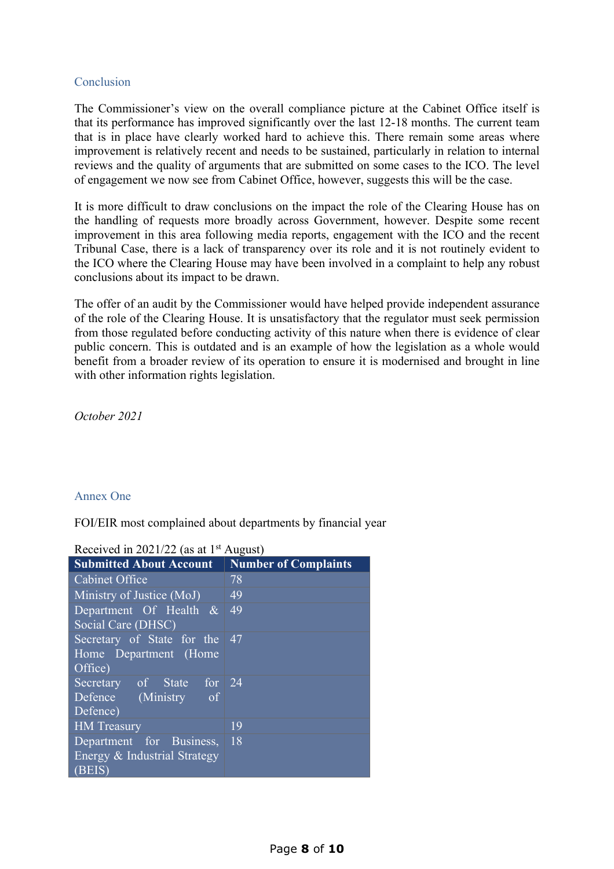### Conclusion

The Commissioner's view on the overall compliance picture at the Cabinet Office itself is that its performance has improved significantly over the last 12-18 months. The current team that is in place have clearly worked hard to achieve this. There remain some areas where improvement is relatively recent and needs to be sustained, particularly in relation to internal reviews and the quality of arguments that are submitted on some cases to the ICO. The level of engagement we now see from Cabinet Office, however, suggests this will be the case.

It is more difficult to draw conclusions on the impact the role of the Clearing House has on the handling of requests more broadly across Government, however. Despite some recent improvement in this area following media reports, engagement with the ICO and the recent Tribunal Case, there is a lack of transparency over its role and it is not routinely evident to the ICO where the Clearing House may have been involved in a complaint to help any robust conclusions about its impact to be drawn.

The offer of an audit by the Commissioner would have helped provide independent assurance of the role of the Clearing House. It is unsatisfactory that the regulator must seek permission from those regulated before conducting activity of this nature when there is evidence of clear public concern. This is outdated and is an example of how the legislation as a whole would benefit from a broader review of its operation to ensure it is modernised and brought in line with other information rights legislation.

*October 2021*

# Annex One

FOI/EIR most complained about departments by financial year

| Accelved in $2021/22$ (as at 1)<br>$1$ ruguot |                             |
|-----------------------------------------------|-----------------------------|
| <b>Submitted About Account</b>                | <b>Number of Complaints</b> |
| <b>Cabinet Office</b>                         | 78                          |
| Ministry of Justice (MoJ)                     | 49                          |
| Department Of Health $\&$                     | 49                          |
| Social Care (DHSC)                            |                             |
| Secretary of State for the                    | 47                          |
| Home Department (Home                         |                             |
| Office)                                       |                             |
| Secretary of State for 24                     |                             |
| Defence (Ministry of                          |                             |
| Defence)                                      |                             |
| <b>HM</b> Treasury                            | 19                          |
| Department for Business,                      | 18                          |
| Energy & Industrial Strategy                  |                             |
| (BEIS)                                        |                             |

Received in 2021/22 (as at 1<sup>st</sup> August)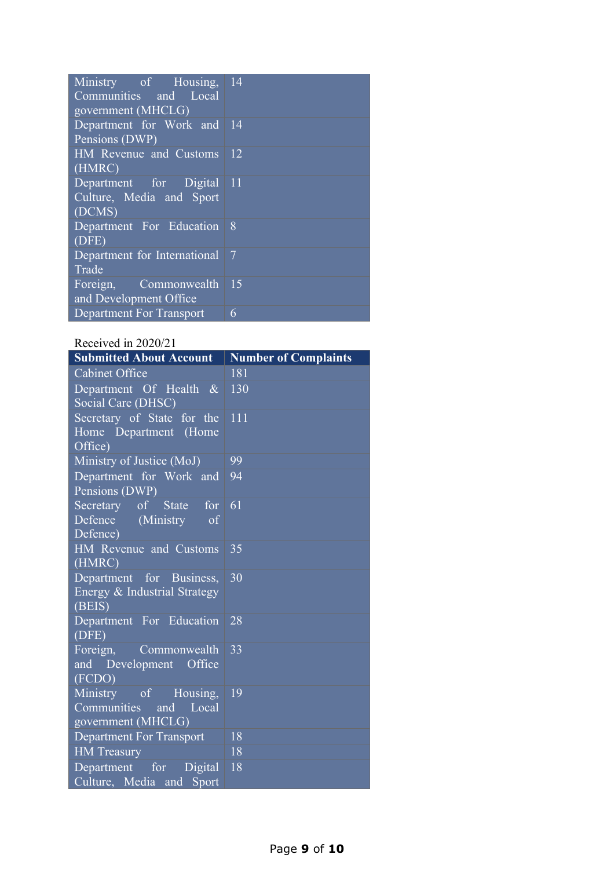| Ministry of Housing,<br>Communities and Local<br>government (MHCLG) | 14             |
|---------------------------------------------------------------------|----------------|
| Department for Work and<br>Pensions (DWP)                           | 14             |
| HM Revenue and Customs<br>(HMRC)                                    | <sup>12</sup>  |
| Department for Digital 11<br>Culture, Media and Sport<br>(DCMS)     |                |
| Department For Education<br>(DFE)                                   | - 8            |
| Department for International<br>Trade                               | $\overline{7}$ |
| Commonwealth<br>Foreign,<br>and Development Office                  | $\vert$ 15     |
| <b>Department For Transport</b>                                     | 6              |

# Received in 2020/21

| <b>Submitted About Account</b>  | <b>Number of Complaints</b> |
|---------------------------------|-----------------------------|
| <b>Cabinet Office</b>           | 181                         |
| Department Of Health $\&$       | 130                         |
| Social Care (DHSC)              |                             |
| Secretary of State for the      | 111                         |
| Home Department (Home           |                             |
| Office)                         |                             |
| Ministry of Justice (MoJ)       | 99                          |
| Department for Work and         | 94                          |
| Pensions (DWP)                  |                             |
| Secretary of State for          | 61                          |
| Defence (Ministry of            |                             |
| Defence)                        |                             |
| HM Revenue and Customs          | 35                          |
| (HMRC)                          |                             |
| Department for Business,        | 30                          |
| Energy & Industrial Strategy    |                             |
| (BEIS)                          |                             |
| Department For Education        | 28                          |
| (DFE)                           |                             |
| Foreign,<br>Commonwealth        | 33                          |
| and Development Office          |                             |
| (FCDO)                          |                             |
| Ministry of Housing,            | 19                          |
| Communities<br>and Local        |                             |
| government (MHCLG)              |                             |
| <b>Department For Transport</b> | 18                          |
| <b>HM</b> Treasury              | 18                          |
| Department for Digital          | 18                          |
| Culture, Media and Sport        |                             |